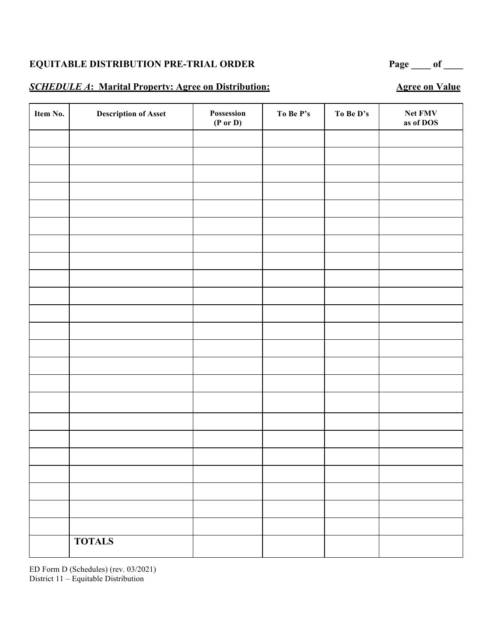#### **SCHEDULE A: Marital Property: Agree on Distribution;** Agree on Value

**Item No. Description of Asset Possession (P or D) To Be P's To Be D's Net FMV as of DOS TOTALS**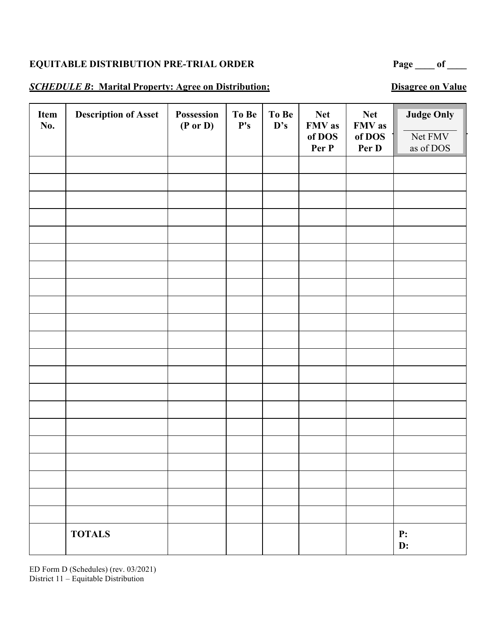# EQUITABLE DISTRIBUTION PRE-TRIAL ORDER Page \_\_\_\_ of \_\_\_

#### **SCHEDULE B:** Marital Property: Agree on Distribution; Disagree on Value

| Item<br>No. | <b>Description of Asset</b> | Possession<br>$(P \text{ or } D)$ | To Be<br>${\bf P's}$ | To Be<br>D's | <b>Net</b><br>FMV as<br>of DOS<br>Per P | <b>Net</b><br>FMV as<br>of DOS<br>Per D | <b>Judge Only</b><br>Net FMV<br>as of DOS |
|-------------|-----------------------------|-----------------------------------|----------------------|--------------|-----------------------------------------|-----------------------------------------|-------------------------------------------|
|             |                             |                                   |                      |              |                                         |                                         |                                           |
|             |                             |                                   |                      |              |                                         |                                         |                                           |
|             |                             |                                   |                      |              |                                         |                                         |                                           |
|             |                             |                                   |                      |              |                                         |                                         |                                           |
|             |                             |                                   |                      |              |                                         |                                         |                                           |
|             |                             |                                   |                      |              |                                         |                                         |                                           |
|             |                             |                                   |                      |              |                                         |                                         |                                           |
|             |                             |                                   |                      |              |                                         |                                         |                                           |
|             |                             |                                   |                      |              |                                         |                                         |                                           |
|             |                             |                                   |                      |              |                                         |                                         |                                           |
|             |                             |                                   |                      |              |                                         |                                         |                                           |
|             |                             |                                   |                      |              |                                         |                                         |                                           |
|             |                             |                                   |                      |              |                                         |                                         |                                           |
|             |                             |                                   |                      |              |                                         |                                         |                                           |
|             |                             |                                   |                      |              |                                         |                                         |                                           |
|             |                             |                                   |                      |              |                                         |                                         |                                           |
|             |                             |                                   |                      |              |                                         |                                         |                                           |
|             |                             |                                   |                      |              |                                         |                                         |                                           |
|             |                             |                                   |                      |              |                                         |                                         |                                           |
|             | <b>TOTALS</b>               |                                   |                      |              |                                         |                                         | P:<br>D:                                  |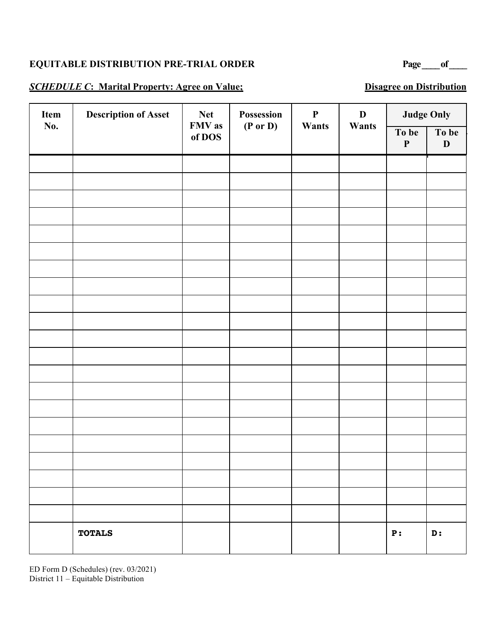### **EQUITABLE DISTRIBUTION PRE-TRIAL ORDER Page of Page** of

#### **SCHEDULE C:** Marital Property: Agree on Value; Disagree on Distribution

| Item | <b>Description of Asset</b> | <b>Net</b>       | Possession          | $\mathbf P$ | $\mathbf D$ |                      | <b>Judge Only</b>    |  |
|------|-----------------------------|------------------|---------------------|-------------|-------------|----------------------|----------------------|--|
| No.  |                             | FMV as<br>of DOS | $(P \text{ or } D)$ | Wants       | Wants       | To be<br>$\mathbf P$ | To be<br>$\mathbf D$ |  |
|      |                             |                  |                     |             |             |                      |                      |  |
|      |                             |                  |                     |             |             |                      |                      |  |
|      |                             |                  |                     |             |             |                      |                      |  |
|      |                             |                  |                     |             |             |                      |                      |  |
|      |                             |                  |                     |             |             |                      |                      |  |
|      |                             |                  |                     |             |             |                      |                      |  |
|      |                             |                  |                     |             |             |                      |                      |  |
|      |                             |                  |                     |             |             |                      |                      |  |
|      |                             |                  |                     |             |             |                      |                      |  |
|      |                             |                  |                     |             |             |                      |                      |  |
|      |                             |                  |                     |             |             |                      |                      |  |
|      |                             |                  |                     |             |             |                      |                      |  |
|      |                             |                  |                     |             |             |                      |                      |  |
|      |                             |                  |                     |             |             |                      |                      |  |
|      |                             |                  |                     |             |             |                      |                      |  |
|      |                             |                  |                     |             |             |                      |                      |  |
|      |                             |                  |                     |             |             |                      |                      |  |
|      |                             |                  |                     |             |             |                      |                      |  |
|      |                             |                  |                     |             |             |                      |                      |  |
|      |                             |                  |                     |             |             |                      |                      |  |
|      |                             |                  |                     |             |             |                      |                      |  |
|      | <b>TOTALS</b>               |                  |                     |             |             | P:                   | D:                   |  |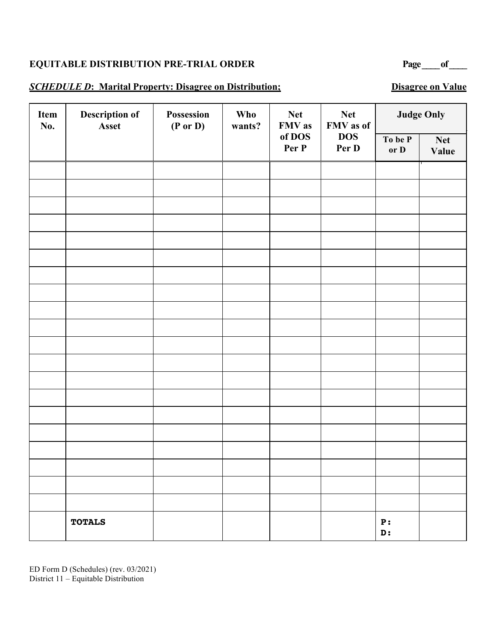### **EQUITABLE DISTRIBUTION PRE-TRIAL ORDER Page of Page** of

#### **SCHEDULE D:** Marital Property: Disagree on Distribution; Disagree on Value

| Item<br>No. | Description of<br>Asset | Possession<br><b>Who</b><br>$(P \text{ or } D)$<br>wants? | <b>Net</b><br>FMV as | <b>Net</b><br>FMV as of |                     | <b>Judge Only</b> |                            |
|-------------|-------------------------|-----------------------------------------------------------|----------------------|-------------------------|---------------------|-------------------|----------------------------|
|             |                         |                                                           |                      | of DOS<br>Per P         | <b>DOS</b><br>Per D | To be P<br>or D   | <b>Net</b><br><b>Value</b> |
|             |                         |                                                           |                      |                         |                     |                   |                            |
|             |                         |                                                           |                      |                         |                     |                   |                            |
|             |                         |                                                           |                      |                         |                     |                   |                            |
|             |                         |                                                           |                      |                         |                     |                   |                            |
|             |                         |                                                           |                      |                         |                     |                   |                            |
|             |                         |                                                           |                      |                         |                     |                   |                            |
|             |                         |                                                           |                      |                         |                     |                   |                            |
|             |                         |                                                           |                      |                         |                     |                   |                            |
|             |                         |                                                           |                      |                         |                     |                   |                            |
|             |                         |                                                           |                      |                         |                     |                   |                            |
|             |                         |                                                           |                      |                         |                     |                   |                            |
|             |                         |                                                           |                      |                         |                     |                   |                            |
|             |                         |                                                           |                      |                         |                     |                   |                            |
|             |                         |                                                           |                      |                         |                     |                   |                            |
|             |                         |                                                           |                      |                         |                     |                   |                            |
|             |                         |                                                           |                      |                         |                     |                   |                            |
|             |                         |                                                           |                      |                         |                     |                   |                            |
|             |                         |                                                           |                      |                         |                     |                   |                            |
|             |                         |                                                           |                      |                         |                     |                   |                            |
|             | <b>TOTALS</b>           |                                                           |                      |                         |                     | P:<br>D:          |                            |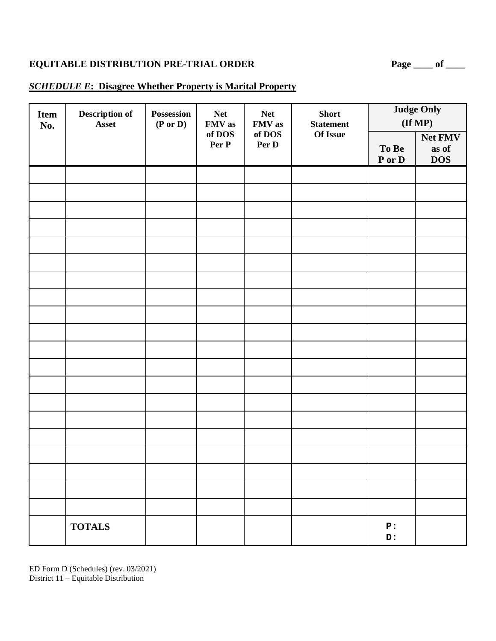# **EQUITABLE DISTRIBUTION PRE-TRIAL ORDER** Page \_\_\_\_ of \_\_\_\_

#### *SCHEDULE E***: Disagree Whether Property is Marital Property**

| <b>Item</b><br>No. | Description of<br>Asset | Possession<br>$(P \text{ or } D)$ | <b>Net</b><br>FMV as | <b>Net</b><br>FMV as | <b>Short</b><br><b>Statement</b> |                 | <b>Judge Only</b><br>$(\mathbf{If MP})$ |
|--------------------|-------------------------|-----------------------------------|----------------------|----------------------|----------------------------------|-----------------|-----------------------------------------|
|                    |                         |                                   | of DOS<br>Per P      | of DOS<br>Per D      | Of Issue                         | To Be<br>P or D | Net FMV<br>as of<br><b>DOS</b>          |
|                    |                         |                                   |                      |                      |                                  |                 |                                         |
|                    |                         |                                   |                      |                      |                                  |                 |                                         |
|                    |                         |                                   |                      |                      |                                  |                 |                                         |
|                    |                         |                                   |                      |                      |                                  |                 |                                         |
|                    |                         |                                   |                      |                      |                                  |                 |                                         |
|                    |                         |                                   |                      |                      |                                  |                 |                                         |
|                    |                         |                                   |                      |                      |                                  |                 |                                         |
|                    |                         |                                   |                      |                      |                                  |                 |                                         |
|                    |                         |                                   |                      |                      |                                  |                 |                                         |
|                    |                         |                                   |                      |                      |                                  |                 |                                         |
|                    |                         |                                   |                      |                      |                                  |                 |                                         |
|                    |                         |                                   |                      |                      |                                  |                 |                                         |
|                    |                         |                                   |                      |                      |                                  |                 |                                         |
|                    |                         |                                   |                      |                      |                                  |                 |                                         |
|                    |                         |                                   |                      |                      |                                  |                 |                                         |
|                    | <b>TOTALS</b>           |                                   |                      |                      |                                  | P:<br>D:        |                                         |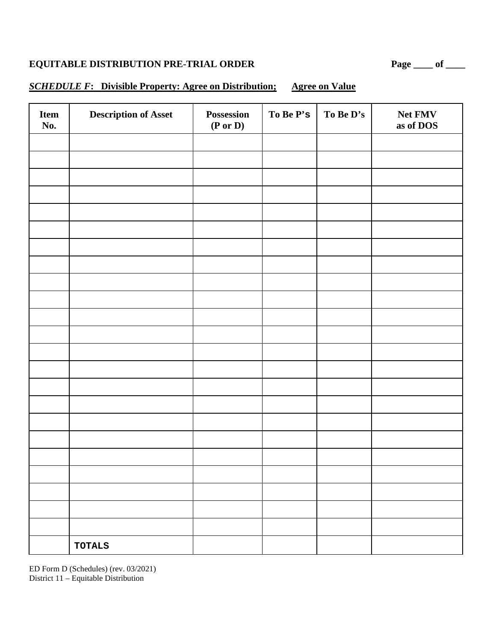# **EQUITABLE DISTRIBUTION PRE-TRIAL ORDER** Page \_\_\_\_ of \_\_\_\_

# *SCHEDULE F***: Divisible Property: Agree on Distribution; Agree on Value**

| Item<br>No. | <b>Description of Asset</b> | Possession<br>$(P \text{ or } D)$ | To Be P's | To Be D's | Net FMV<br>as of DOS |
|-------------|-----------------------------|-----------------------------------|-----------|-----------|----------------------|
|             |                             |                                   |           |           |                      |
|             |                             |                                   |           |           |                      |
|             |                             |                                   |           |           |                      |
|             |                             |                                   |           |           |                      |
|             |                             |                                   |           |           |                      |
|             |                             |                                   |           |           |                      |
|             |                             |                                   |           |           |                      |
|             |                             |                                   |           |           |                      |
|             |                             |                                   |           |           |                      |
|             |                             |                                   |           |           |                      |
|             |                             |                                   |           |           |                      |
|             |                             |                                   |           |           |                      |
|             |                             |                                   |           |           |                      |
|             |                             |                                   |           |           |                      |
|             |                             |                                   |           |           |                      |
|             |                             |                                   |           |           |                      |
|             |                             |                                   |           |           |                      |
|             |                             |                                   |           |           |                      |
|             |                             |                                   |           |           |                      |
|             |                             |                                   |           |           |                      |
|             |                             |                                   |           |           |                      |
|             |                             |                                   |           |           |                      |
|             |                             |                                   |           |           |                      |
|             | <b>TOTALS</b>               |                                   |           |           |                      |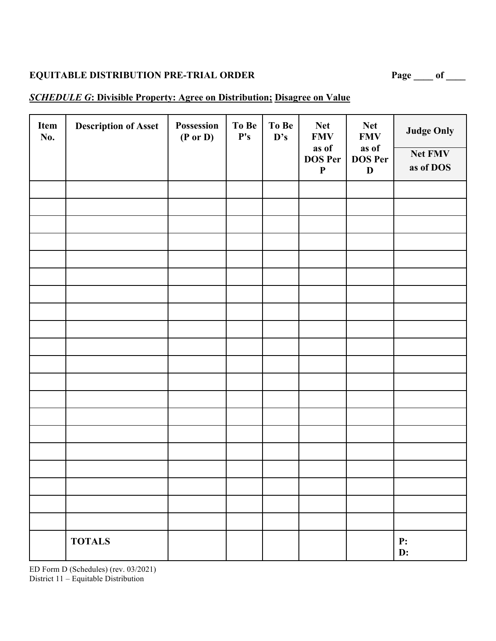| Page | Ωt |  |
|------|----|--|
|      |    |  |

### *SCHEDULE G***: Divisible Property: Agree on Distribution; Disagree on Value**

| Item<br>No. | <b>Description of Asset</b> | Possession<br>$(P \text{ or } D)$ | To Be<br>${\bf P's}$ | To Be<br>$\mathbf{D}$ 's | <b>Net</b><br><b>FMV</b><br>as of<br><b>DOS Per</b><br>$\boldsymbol{\textbf{P}}$ | <b>Net</b><br><b>FMV</b><br>as of<br><b>DOS Per</b><br>$\mathbf D$ | <b>Judge Only</b><br>Net FMV<br>as of DOS |
|-------------|-----------------------------|-----------------------------------|----------------------|--------------------------|----------------------------------------------------------------------------------|--------------------------------------------------------------------|-------------------------------------------|
|             |                             |                                   |                      |                          |                                                                                  |                                                                    |                                           |
|             |                             |                                   |                      |                          |                                                                                  |                                                                    |                                           |
|             |                             |                                   |                      |                          |                                                                                  |                                                                    |                                           |
|             |                             |                                   |                      |                          |                                                                                  |                                                                    |                                           |
|             |                             |                                   |                      |                          |                                                                                  |                                                                    |                                           |
|             |                             |                                   |                      |                          |                                                                                  |                                                                    |                                           |
|             |                             |                                   |                      |                          |                                                                                  |                                                                    |                                           |
|             |                             |                                   |                      |                          |                                                                                  |                                                                    |                                           |
|             |                             |                                   |                      |                          |                                                                                  |                                                                    |                                           |
|             |                             |                                   |                      |                          |                                                                                  |                                                                    |                                           |
|             |                             |                                   |                      |                          |                                                                                  |                                                                    |                                           |
|             |                             |                                   |                      |                          |                                                                                  |                                                                    |                                           |
|             |                             |                                   |                      |                          |                                                                                  |                                                                    |                                           |
|             |                             |                                   |                      |                          |                                                                                  |                                                                    |                                           |
|             |                             |                                   |                      |                          |                                                                                  |                                                                    |                                           |
|             |                             |                                   |                      |                          |                                                                                  |                                                                    |                                           |
|             |                             |                                   |                      |                          |                                                                                  |                                                                    |                                           |
|             |                             |                                   |                      |                          |                                                                                  |                                                                    |                                           |
|             |                             |                                   |                      |                          |                                                                                  |                                                                    |                                           |
|             | <b>TOTALS</b>               |                                   |                      |                          |                                                                                  |                                                                    | P:<br>D:                                  |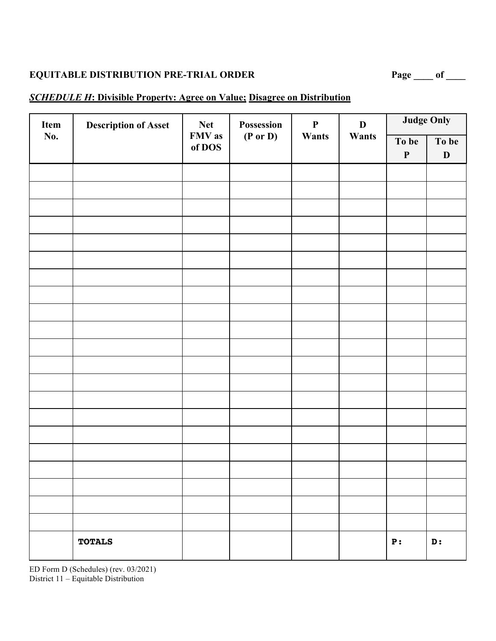#### *SCHEDULE H***: Divisible Property: Agree on Value; Disagree on Distribution**

| Item | <b>Description of Asset</b> | <b>Net</b>       | Possession          | $\mathbf P$ | $\mathbf D$ |                      | <b>Judge Only</b>    |
|------|-----------------------------|------------------|---------------------|-------------|-------------|----------------------|----------------------|
| No.  |                             | FMV as<br>of DOS | $(P \text{ or } D)$ | Wants       | Wants       | To be<br>$\mathbf P$ | To be<br>$\mathbf D$ |
|      |                             |                  |                     |             |             |                      |                      |
|      |                             |                  |                     |             |             |                      |                      |
|      |                             |                  |                     |             |             |                      |                      |
|      |                             |                  |                     |             |             |                      |                      |
|      |                             |                  |                     |             |             |                      |                      |
|      |                             |                  |                     |             |             |                      |                      |
|      |                             |                  |                     |             |             |                      |                      |
|      |                             |                  |                     |             |             |                      |                      |
|      |                             |                  |                     |             |             |                      |                      |
|      |                             |                  |                     |             |             |                      |                      |
|      |                             |                  |                     |             |             |                      |                      |
|      |                             |                  |                     |             |             |                      |                      |
|      |                             |                  |                     |             |             |                      |                      |
|      |                             |                  |                     |             |             |                      |                      |
|      |                             |                  |                     |             |             |                      |                      |
|      |                             |                  |                     |             |             |                      |                      |
|      |                             |                  |                     |             |             |                      |                      |
|      |                             |                  |                     |             |             |                      |                      |
|      |                             |                  |                     |             |             |                      |                      |
|      |                             |                  |                     |             |             |                      |                      |
|      | <b>TOTALS</b>               |                  |                     |             |             | P:                   | D:                   |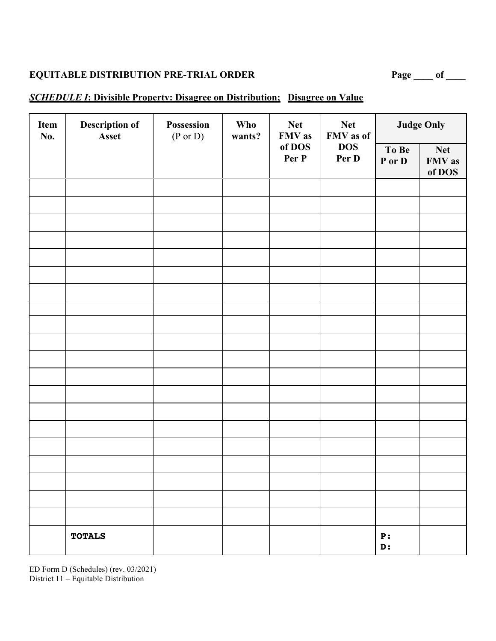#### *SCHEDULE I***: Divisible Property: Disagree on Distribution; Disagree on Value**

| Item<br>No. | <b>Description of</b><br>Asset | Possession<br>$(P \text{ or } D)$ | <b>Who</b><br>wants? | <b>Net</b><br>FMV as | <b>Net</b><br>FMV as of |                 | <b>Judge Only</b>              |
|-------------|--------------------------------|-----------------------------------|----------------------|----------------------|-------------------------|-----------------|--------------------------------|
|             |                                |                                   |                      | of DOS<br>Per P      | <b>DOS</b><br>Per D     | To Be<br>P or D | <b>Net</b><br>FMV as<br>of DOS |
|             |                                |                                   |                      |                      |                         |                 |                                |
|             |                                |                                   |                      |                      |                         |                 |                                |
|             |                                |                                   |                      |                      |                         |                 |                                |
|             |                                |                                   |                      |                      |                         |                 |                                |
|             |                                |                                   |                      |                      |                         |                 |                                |
|             |                                |                                   |                      |                      |                         |                 |                                |
|             |                                |                                   |                      |                      |                         |                 |                                |
|             |                                |                                   |                      |                      |                         |                 |                                |
|             |                                |                                   |                      |                      |                         |                 |                                |
|             |                                |                                   |                      |                      |                         |                 |                                |
|             |                                |                                   |                      |                      |                         |                 |                                |
|             |                                |                                   |                      |                      |                         |                 |                                |
|             |                                |                                   |                      |                      |                         |                 |                                |
|             |                                |                                   |                      |                      |                         |                 |                                |
|             |                                |                                   |                      |                      |                         |                 |                                |
|             |                                |                                   |                      |                      |                         |                 |                                |
|             |                                |                                   |                      |                      |                         |                 |                                |
|             |                                |                                   |                      |                      |                         |                 |                                |
|             | <b>TOTALS</b>                  |                                   |                      |                      |                         | P:<br>D:        |                                |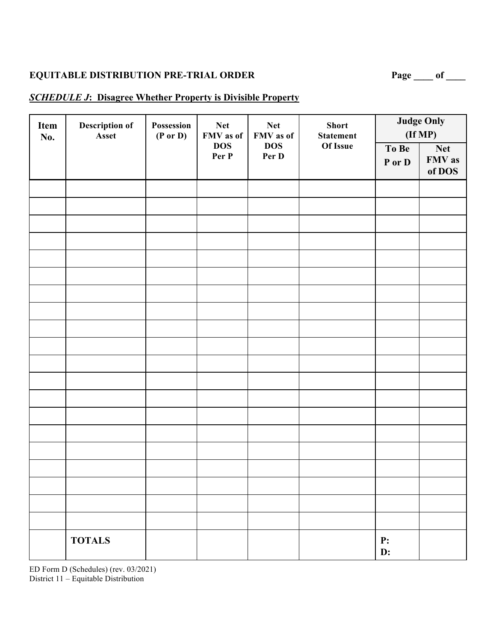# EQUITABLE DISTRIBUTION PRE-TRIAL ORDER Page \_\_\_\_ of \_\_\_

#### *SCHEDULE J***: Disagree Whether Property is Divisible Property**

| Item<br>No. | Description of<br>Possession<br><b>Net</b><br><b>Net</b><br><b>Short</b><br>FMV as of<br>Asset<br>$(P \text{ or } D)$<br>FMV as of<br><b>Statement</b> |                     |                     | <b>Judge Only</b><br>(If MP) |                      |                                |
|-------------|--------------------------------------------------------------------------------------------------------------------------------------------------------|---------------------|---------------------|------------------------------|----------------------|--------------------------------|
|             |                                                                                                                                                        | <b>DOS</b><br>Per P | <b>DOS</b><br>Per D | Of Issue                     | To Be<br>P or D      | <b>Net</b><br>FMV as<br>of DOS |
|             |                                                                                                                                                        |                     |                     |                              |                      |                                |
|             |                                                                                                                                                        |                     |                     |                              |                      |                                |
|             |                                                                                                                                                        |                     |                     |                              |                      |                                |
|             |                                                                                                                                                        |                     |                     |                              |                      |                                |
|             |                                                                                                                                                        |                     |                     |                              |                      |                                |
|             |                                                                                                                                                        |                     |                     |                              |                      |                                |
|             |                                                                                                                                                        |                     |                     |                              |                      |                                |
|             |                                                                                                                                                        |                     |                     |                              |                      |                                |
|             |                                                                                                                                                        |                     |                     |                              |                      |                                |
|             |                                                                                                                                                        |                     |                     |                              |                      |                                |
|             |                                                                                                                                                        |                     |                     |                              |                      |                                |
|             |                                                                                                                                                        |                     |                     |                              |                      |                                |
|             |                                                                                                                                                        |                     |                     |                              |                      |                                |
|             |                                                                                                                                                        |                     |                     |                              |                      |                                |
|             |                                                                                                                                                        |                     |                     |                              |                      |                                |
|             |                                                                                                                                                        |                     |                     |                              |                      |                                |
|             |                                                                                                                                                        |                     |                     |                              |                      |                                |
|             |                                                                                                                                                        |                     |                     |                              |                      |                                |
|             |                                                                                                                                                        |                     |                     |                              |                      |                                |
|             |                                                                                                                                                        |                     |                     |                              |                      |                                |
|             | <b>TOTALS</b>                                                                                                                                          |                     |                     |                              | P:<br>$\mathbf{D}$ : |                                |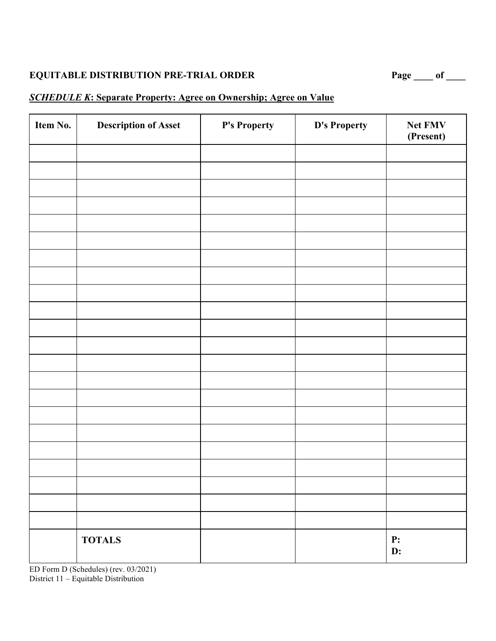#### *SCHEDULE K***: Separate Property: Agree on Ownership; Agree on Value**

| Item No. | <b>Description of Asset</b> | P's Property | D's Property | Net FMV<br>(Present)   |
|----------|-----------------------------|--------------|--------------|------------------------|
|          |                             |              |              |                        |
|          |                             |              |              |                        |
|          |                             |              |              |                        |
|          |                             |              |              |                        |
|          |                             |              |              |                        |
|          |                             |              |              |                        |
|          |                             |              |              |                        |
|          |                             |              |              |                        |
|          |                             |              |              |                        |
|          |                             |              |              |                        |
|          |                             |              |              |                        |
|          |                             |              |              |                        |
|          |                             |              |              |                        |
|          |                             |              |              |                        |
|          |                             |              |              |                        |
|          |                             |              |              |                        |
|          |                             |              |              |                        |
|          |                             |              |              |                        |
|          |                             |              |              |                        |
|          |                             |              |              |                        |
|          |                             |              |              |                        |
|          | <b>TOTALS</b>               |              |              | <b>P:</b><br><b>D:</b> |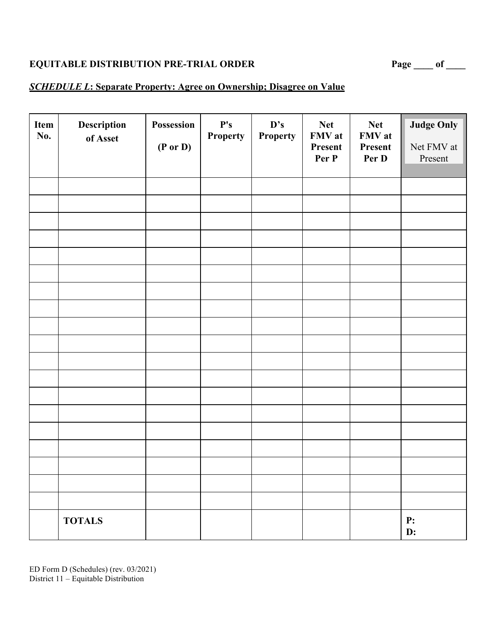#### *SCHEDULE L***: Separate Property: Agree on Ownership; Disagree on Value**

| Item<br>No. | Description<br>of Asset | Possession<br>$(P \text{ or } D)$ | ${\bf P's}$<br>Property | D's<br><b>Property</b> | <b>Net</b><br>FMV at<br>Present<br>Per P | <b>Net</b><br>FMV at<br>Present<br>Per D | <b>Judge Only</b><br>Net FMV at<br>Present |
|-------------|-------------------------|-----------------------------------|-------------------------|------------------------|------------------------------------------|------------------------------------------|--------------------------------------------|
|             |                         |                                   |                         |                        |                                          |                                          |                                            |
|             |                         |                                   |                         |                        |                                          |                                          |                                            |
|             |                         |                                   |                         |                        |                                          |                                          |                                            |
|             |                         |                                   |                         |                        |                                          |                                          |                                            |
|             |                         |                                   |                         |                        |                                          |                                          |                                            |
|             |                         |                                   |                         |                        |                                          |                                          |                                            |
|             |                         |                                   |                         |                        |                                          |                                          |                                            |
|             |                         |                                   |                         |                        |                                          |                                          |                                            |
|             |                         |                                   |                         |                        |                                          |                                          |                                            |
|             |                         |                                   |                         |                        |                                          |                                          |                                            |
|             |                         |                                   |                         |                        |                                          |                                          |                                            |
|             |                         |                                   |                         |                        |                                          |                                          |                                            |
|             |                         |                                   |                         |                        |                                          |                                          |                                            |
|             |                         |                                   |                         |                        |                                          |                                          |                                            |
|             |                         |                                   |                         |                        |                                          |                                          |                                            |
|             |                         |                                   |                         |                        |                                          |                                          |                                            |
|             |                         |                                   |                         |                        |                                          |                                          |                                            |
|             | <b>TOTALS</b>           |                                   |                         |                        |                                          |                                          | P:<br>D:                                   |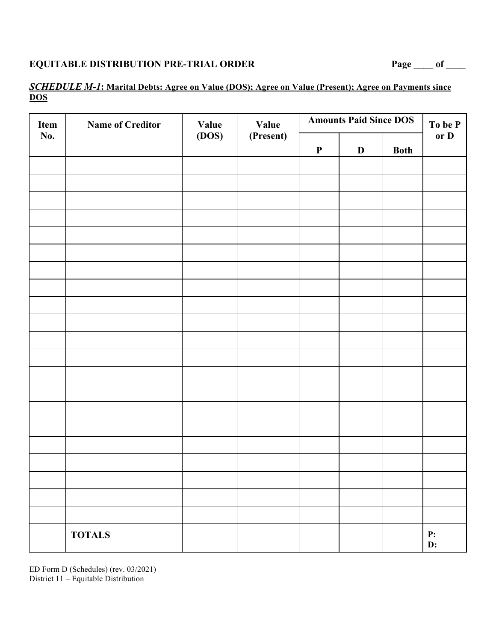### *SCHEDULE M-1***: Marital Debts: Agree on Value (DOS); Agree on Value (Present); Agree on Payments since DOS**

| Item<br>No. | <b>Name of Creditor</b> | <b>Value</b> | <b>Value</b> | <b>Amounts Paid Since DOS</b> | To be P<br>or D |             |                              |
|-------------|-------------------------|--------------|--------------|-------------------------------|-----------------|-------------|------------------------------|
|             |                         | (DOS)        | (Present)    | $\mathbf P$                   | $\mathbf{D}$    | <b>Both</b> |                              |
|             |                         |              |              |                               |                 |             |                              |
|             |                         |              |              |                               |                 |             |                              |
|             |                         |              |              |                               |                 |             |                              |
|             |                         |              |              |                               |                 |             |                              |
|             |                         |              |              |                               |                 |             |                              |
|             |                         |              |              |                               |                 |             |                              |
|             |                         |              |              |                               |                 |             |                              |
|             |                         |              |              |                               |                 |             |                              |
|             |                         |              |              |                               |                 |             |                              |
|             |                         |              |              |                               |                 |             |                              |
|             |                         |              |              |                               |                 |             |                              |
|             |                         |              |              |                               |                 |             |                              |
|             |                         |              |              |                               |                 |             |                              |
|             |                         |              |              |                               |                 |             |                              |
|             |                         |              |              |                               |                 |             |                              |
|             |                         |              |              |                               |                 |             |                              |
|             |                         |              |              |                               |                 |             |                              |
|             |                         |              |              |                               |                 |             |                              |
|             |                         |              |              |                               |                 |             |                              |
|             |                         |              |              |                               |                 |             |                              |
|             | <b>TOTALS</b>           |              |              |                               |                 |             | ${\bf P:}$<br>$\mathbf{D}$ : |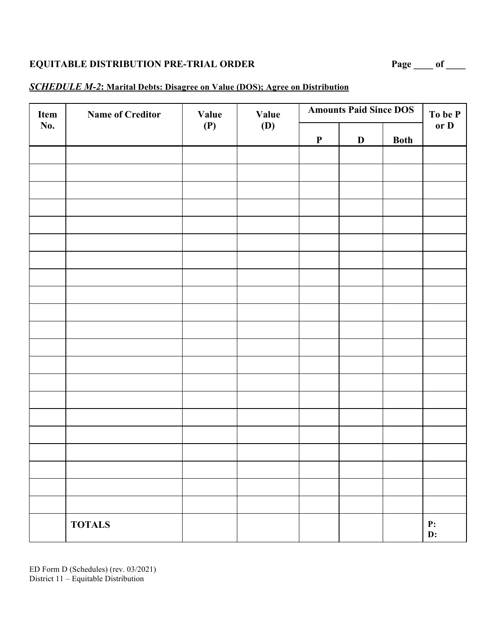#### *SCHEDULE M-2***: Marital Debts: Disagree on Value (DOS); Agree on Distribution**

| Item<br>No. | <b>Name of Creditor</b> | <b>Value</b><br>(P) | <b>Value</b><br><b>(D)</b> | <b>Amounts Paid Since DOS</b> |              |             | To be P              |
|-------------|-------------------------|---------------------|----------------------------|-------------------------------|--------------|-------------|----------------------|
|             |                         |                     |                            | $\boldsymbol{\mathsf{P}}$     | $\mathbf{D}$ | <b>Both</b> | or D                 |
|             |                         |                     |                            |                               |              |             |                      |
|             |                         |                     |                            |                               |              |             |                      |
|             |                         |                     |                            |                               |              |             |                      |
|             |                         |                     |                            |                               |              |             |                      |
|             |                         |                     |                            |                               |              |             |                      |
|             |                         |                     |                            |                               |              |             |                      |
|             |                         |                     |                            |                               |              |             |                      |
|             |                         |                     |                            |                               |              |             |                      |
|             |                         |                     |                            |                               |              |             |                      |
|             |                         |                     |                            |                               |              |             |                      |
|             |                         |                     |                            |                               |              |             |                      |
|             |                         |                     |                            |                               |              |             |                      |
|             |                         |                     |                            |                               |              |             |                      |
|             |                         |                     |                            |                               |              |             |                      |
|             |                         |                     |                            |                               |              |             |                      |
|             |                         |                     |                            |                               |              |             |                      |
|             |                         |                     |                            |                               |              |             |                      |
|             |                         |                     |                            |                               |              |             |                      |
|             | <b>TOTALS</b>           |                     |                            |                               |              |             | P:<br>$\mathbf{D}$ : |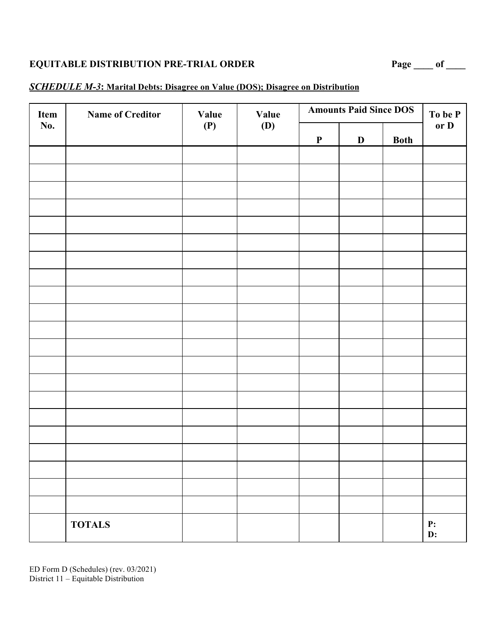#### *SCHEDULE M-3***: Marital Debts: Disagree on Value (DOS); Disagree on Distribution**

| Item | <b>Name of Creditor</b> | <b>Value</b><br>(P) | Value<br><b>(D)</b> | <b>Amounts Paid Since DOS</b> |              |             | To be P  |
|------|-------------------------|---------------------|---------------------|-------------------------------|--------------|-------------|----------|
| No.  |                         |                     |                     | $\boldsymbol{\mathrm{P}}$     | $\mathbf{D}$ | <b>Both</b> | or D     |
|      |                         |                     |                     |                               |              |             |          |
|      |                         |                     |                     |                               |              |             |          |
|      |                         |                     |                     |                               |              |             |          |
|      |                         |                     |                     |                               |              |             |          |
|      |                         |                     |                     |                               |              |             |          |
|      |                         |                     |                     |                               |              |             |          |
|      |                         |                     |                     |                               |              |             |          |
|      |                         |                     |                     |                               |              |             |          |
|      |                         |                     |                     |                               |              |             |          |
|      |                         |                     |                     |                               |              |             |          |
|      |                         |                     |                     |                               |              |             |          |
|      |                         |                     |                     |                               |              |             |          |
|      |                         |                     |                     |                               |              |             |          |
|      |                         |                     |                     |                               |              |             |          |
|      |                         |                     |                     |                               |              |             |          |
|      |                         |                     |                     |                               |              |             |          |
|      |                         |                     |                     |                               |              |             |          |
|      |                         |                     |                     |                               |              |             |          |
|      |                         |                     |                     |                               |              |             |          |
|      | <b>TOTALS</b>           |                     |                     |                               |              |             | P:<br>D: |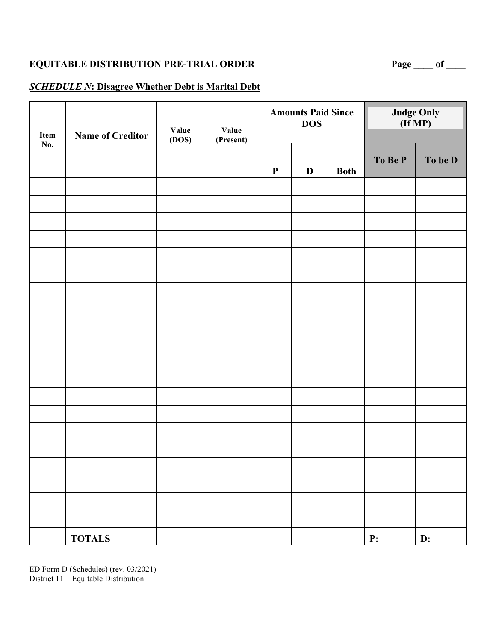### *SCHEDULE N***: Disagree Whether Debt is Marital Debt**

| Item | <b>Name of Creditor</b> | Value<br>(DOS) | Value<br>(Present) | <b>Amounts Paid Since</b><br><b>DOS</b> |             |             | <b>Judge Only</b><br>$(\tilde{If MP})$ |         |
|------|-------------------------|----------------|--------------------|-----------------------------------------|-------------|-------------|----------------------------------------|---------|
| No.  |                         |                |                    | ${\bf P}$                               | $\mathbf D$ | <b>Both</b> | To Be P                                | To be D |
|      |                         |                |                    |                                         |             |             |                                        |         |
|      |                         |                |                    |                                         |             |             |                                        |         |
|      |                         |                |                    |                                         |             |             |                                        |         |
|      |                         |                |                    |                                         |             |             |                                        |         |
|      |                         |                |                    |                                         |             |             |                                        |         |
|      |                         |                |                    |                                         |             |             |                                        |         |
|      |                         |                |                    |                                         |             |             |                                        |         |
|      |                         |                |                    |                                         |             |             |                                        |         |
|      |                         |                |                    |                                         |             |             |                                        |         |
|      |                         |                |                    |                                         |             |             |                                        |         |
|      |                         |                |                    |                                         |             |             |                                        |         |
|      |                         |                |                    |                                         |             |             |                                        |         |
|      |                         |                |                    |                                         |             |             |                                        |         |
|      |                         |                |                    |                                         |             |             |                                        |         |
|      |                         |                |                    |                                         |             |             |                                        |         |
|      |                         |                |                    |                                         |             |             |                                        |         |
|      |                         |                |                    |                                         |             |             |                                        |         |
|      |                         |                |                    |                                         |             |             |                                        |         |
|      |                         |                |                    |                                         |             |             |                                        |         |
|      |                         |                |                    |                                         |             |             |                                        |         |
|      | <b>TOTALS</b>           |                |                    |                                         |             |             | P:                                     | D:      |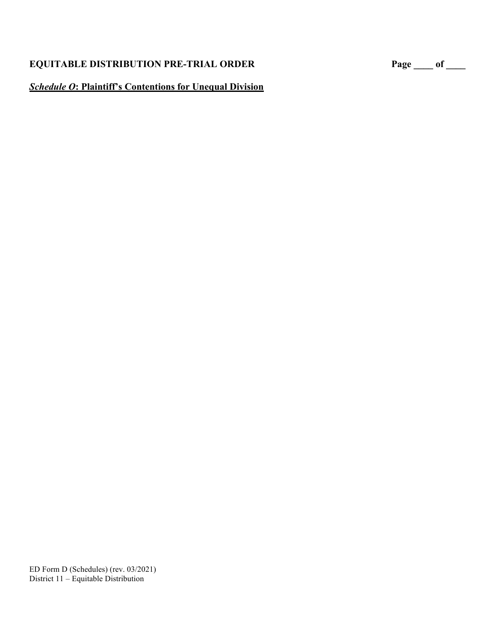#### *Schedule O***: Plaintiff's Contentions for Unequal Division**